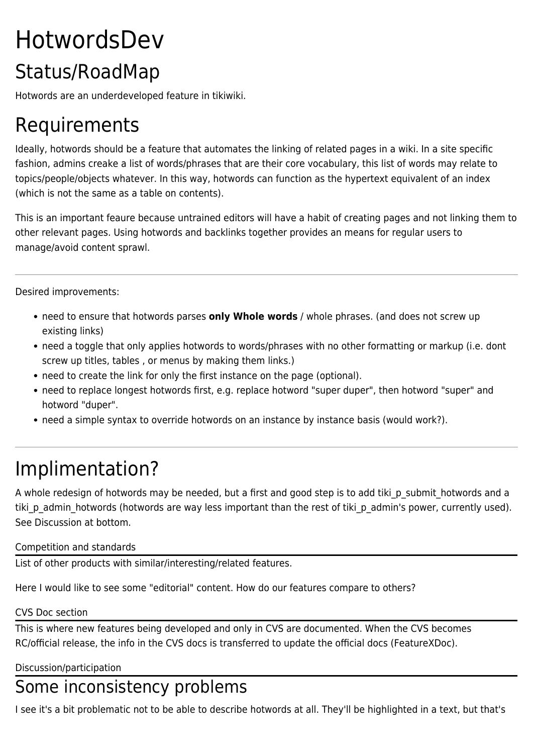# HotwordsDev Status/RoadMap

Hotwords are an underdeveloped feature in tikiwiki.

## Requirements

Ideally, hotwords should be a feature that automates the linking of related pages in a wiki. In a site specific fashion, admins creake a list of words/phrases that are their core vocabulary, this list of words may relate to topics/people/objects whatever. In this way, hotwords can function as the hypertext equivalent of an index (which is not the same as a table on contents).

This is an important feaure because untrained editors will have a habit of creating pages and not linking them to other relevant pages. Using hotwords and backlinks together provides an means for regular users to manage/avoid content sprawl.

Desired improvements:

- need to ensure that hotwords parses **only Whole words** / whole phrases. (and does not screw up existing links)
- need a toggle that only applies hotwords to words/phrases with no other formatting or markup (i.e. dont screw up titles, tables , or menus by making them links.)
- need to create the link for only the first instance on the page (optional).
- need to replace longest hotwords first, e.g. replace hotword "super duper", then hotword "super" and hotword "duper".
- need a simple syntax to override hotwords on an instance by instance basis (would work?).

### Implimentation?

A whole redesign of hotwords may be needed, but a first and good step is to add tiki p submit hotwords and a tiki p admin hotwords (hotwords are way less important than the rest of tiki p admin's power, currently used). See Discussion at bottom.

#### Competition and standards

List of other products with similar/interesting/related features.

Here I would like to see some "editorial" content. How do our features compare to others?

#### CVS Doc section

This is where new features being developed and only in CVS are documented. When the CVS becomes RC/official release, the info in the CVS docs is transferred to update the official docs (FeatureXDoc).

Discussion/participation

### Some inconsistency problems

I see it's a bit problematic not to be able to describe hotwords at all. They'll be highlighted in a text, but that's